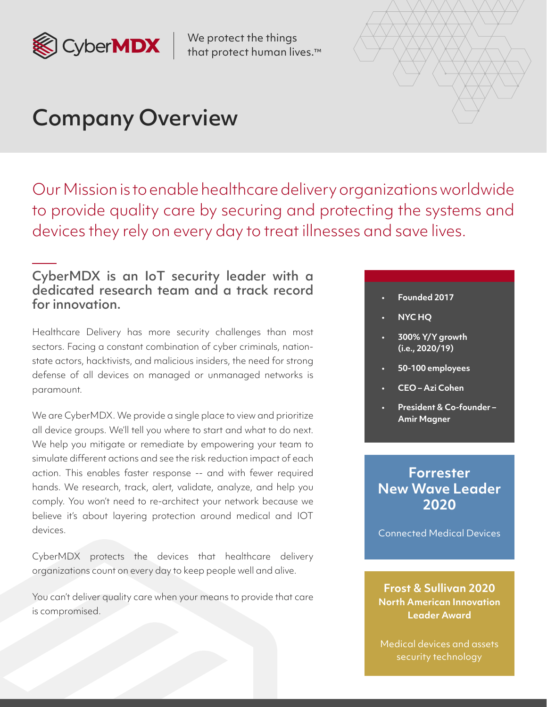

We protect the things that protect human lives.™



# Company Overview

Our Mission is to enable healthcare delivery organizations worldwide to provide quality care by securing and protecting the systems and devices they rely on every day to treat illnesses and save lives.

### CyberMDX is an IoT security leader with a dedicated research team and a track record for innovation.

Healthcare Delivery has more security challenges than most sectors. Facing a constant combination of cyber criminals, nationstate actors, hacktivists, and malicious insiders, the need for strong defense of all devices on managed or unmanaged networks is paramount.

We are CyberMDX. We provide a single place to view and prioritize all device groups. We'll tell you where to start and what to do next. We help you mitigate or remediate by empowering your team to simulate different actions and see the risk reduction impact of each action. This enables faster response -- and with fewer required hands. We research, track, alert, validate, analyze, and help you comply. You won't need to re-architect your network because we believe it's about layering protection around medical and IOT devices.

CyberMDX protects the devices that healthcare delivery organizations count on every day to keep people well and alive.

You can't deliver quality care when your means to provide that care is compromised.

#### • **Founded 2017**

- **NYC HQ**
- **300% Y/Y growth (i.e., 2020/19)**
- **50-100 employees**
- **CEO Azi Cohen**
- **President & Co-founder Amir Magner**

### **Forrester New Wave Leader 2020**

Connected Medical Devices

**Frost & Sullivan 2020 North American Innovation Leader Award**

Medical devices and assets security technology